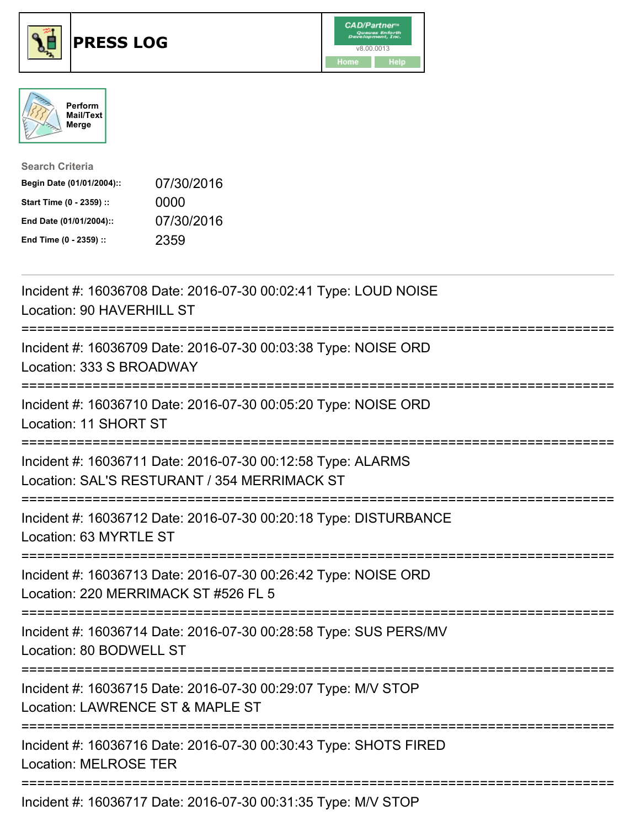





| <b>Search Criteria</b>    |            |
|---------------------------|------------|
| Begin Date (01/01/2004):: | 07/30/2016 |
| Start Time (0 - 2359) ::  | 0000       |
| End Date (01/01/2004)::   | 07/30/2016 |
| End Time (0 - 2359) ::    | 2359       |

| Incident #: 16036708 Date: 2016-07-30 00:02:41 Type: LOUD NOISE<br>Location: 90 HAVERHILL ST                         |
|----------------------------------------------------------------------------------------------------------------------|
| Incident #: 16036709 Date: 2016-07-30 00:03:38 Type: NOISE ORD<br>Location: 333 S BROADWAY                           |
| Incident #: 16036710 Date: 2016-07-30 00:05:20 Type: NOISE ORD<br>Location: 11 SHORT ST<br>========================= |
| Incident #: 16036711 Date: 2016-07-30 00:12:58 Type: ALARMS<br>Location: SAL'S RESTURANT / 354 MERRIMACK ST          |
| Incident #: 16036712 Date: 2016-07-30 00:20:18 Type: DISTURBANCE<br>Location: 63 MYRTLE ST                           |
| Incident #: 16036713 Date: 2016-07-30 00:26:42 Type: NOISE ORD<br>Location: 220 MERRIMACK ST #526 FL 5               |
| Incident #: 16036714 Date: 2016-07-30 00:28:58 Type: SUS PERS/MV<br>Location: 80 BODWELL ST                          |
| Incident #: 16036715 Date: 2016-07-30 00:29:07 Type: M/V STOP<br>Location: LAWRENCE ST & MAPLE ST                    |
| Incident #: 16036716 Date: 2016-07-30 00:30:43 Type: SHOTS FIRED<br><b>Location: MELROSE TER</b>                     |
| Incident #: 16036717 Date: 2016-07-30 00:31:35 Type: M/V STOP                                                        |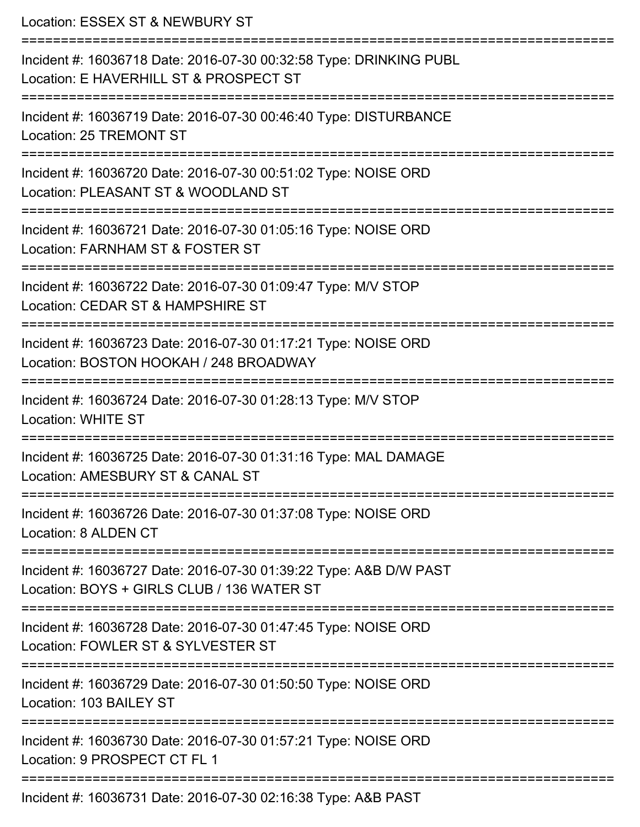Location: ESSEX ST & NEWBURY ST =========================================================================== Incident #: 16036718 Date: 2016-07-30 00:32:58 Type: DRINKING PUBL Location: E HAVERHILL ST & PROSPECT ST =========================================================================== Incident #: 16036719 Date: 2016-07-30 00:46:40 Type: DISTURBANCE Location: 25 TREMONT ST =========================================================================== Incident #: 16036720 Date: 2016-07-30 00:51:02 Type: NOISE ORD Location: PLEASANT ST & WOODLAND ST =========================================================================== Incident #: 16036721 Date: 2016-07-30 01:05:16 Type: NOISE ORD Location: FARNHAM ST & FOSTER ST =========================================================================== Incident #: 16036722 Date: 2016-07-30 01:09:47 Type: M/V STOP Location: CEDAR ST & HAMPSHIRE ST =========================================================================== Incident #: 16036723 Date: 2016-07-30 01:17:21 Type: NOISE ORD Location: BOSTON HOOKAH / 248 BROADWAY =========================================================================== Incident #: 16036724 Date: 2016-07-30 01:28:13 Type: M/V STOP Location: WHITE ST =========================================================================== Incident #: 16036725 Date: 2016-07-30 01:31:16 Type: MAL DAMAGE Location: AMESBURY ST & CANAL ST =========================================================================== Incident #: 16036726 Date: 2016-07-30 01:37:08 Type: NOISE ORD Location: 8 ALDEN CT =========================================================================== Incident #: 16036727 Date: 2016-07-30 01:39:22 Type: A&B D/W PAST Location: BOYS + GIRLS CLUB / 136 WATER ST =========================================================================== Incident #: 16036728 Date: 2016-07-30 01:47:45 Type: NOISE ORD Location: FOWLER ST & SYLVESTER ST =========================================================================== Incident #: 16036729 Date: 2016-07-30 01:50:50 Type: NOISE ORD Location: 103 BAILEY ST =========================================================================== Incident #: 16036730 Date: 2016-07-30 01:57:21 Type: NOISE ORD Location: 9 PROSPECT CT FL 1 =========================================================================== Incident #: 16036731 Date: 2016-07-30 02:16:38 Type: A&B PAST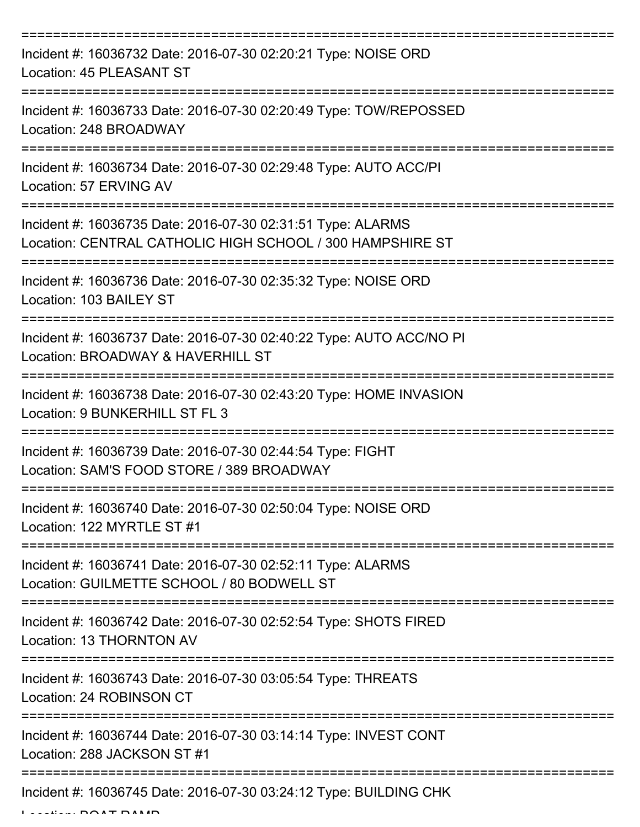| Incident #: 16036732 Date: 2016-07-30 02:20:21 Type: NOISE ORD<br>Location: 45 PLEASANT ST                               |
|--------------------------------------------------------------------------------------------------------------------------|
| Incident #: 16036733 Date: 2016-07-30 02:20:49 Type: TOW/REPOSSED<br>Location: 248 BROADWAY                              |
| Incident #: 16036734 Date: 2016-07-30 02:29:48 Type: AUTO ACC/PI<br>Location: 57 ERVING AV                               |
| Incident #: 16036735 Date: 2016-07-30 02:31:51 Type: ALARMS<br>Location: CENTRAL CATHOLIC HIGH SCHOOL / 300 HAMPSHIRE ST |
| Incident #: 16036736 Date: 2016-07-30 02:35:32 Type: NOISE ORD<br>Location: 103 BAILEY ST                                |
| Incident #: 16036737 Date: 2016-07-30 02:40:22 Type: AUTO ACC/NO PI<br>Location: BROADWAY & HAVERHILL ST                 |
| Incident #: 16036738 Date: 2016-07-30 02:43:20 Type: HOME INVASION<br>Location: 9 BUNKERHILL ST FL 3                     |
| Incident #: 16036739 Date: 2016-07-30 02:44:54 Type: FIGHT<br>Location: SAM'S FOOD STORE / 389 BROADWAY                  |
| Incident #: 16036740 Date: 2016-07-30 02:50:04 Type: NOISE ORD<br>Location: 122 MYRTLE ST #1                             |
| Incident #: 16036741 Date: 2016-07-30 02:52:11 Type: ALARMS<br>Location: GUILMETTE SCHOOL / 80 BODWELL ST                |
| Incident #: 16036742 Date: 2016-07-30 02:52:54 Type: SHOTS FIRED<br>Location: 13 THORNTON AV                             |
| Incident #: 16036743 Date: 2016-07-30 03:05:54 Type: THREATS<br>Location: 24 ROBINSON CT                                 |
| Incident #: 16036744 Date: 2016-07-30 03:14:14 Type: INVEST CONT<br>Location: 288 JACKSON ST #1                          |
| Incident #: 16036745 Date: 2016-07-30 03:24:12 Type: BUILDING CHK                                                        |

Location: BOAT RAMP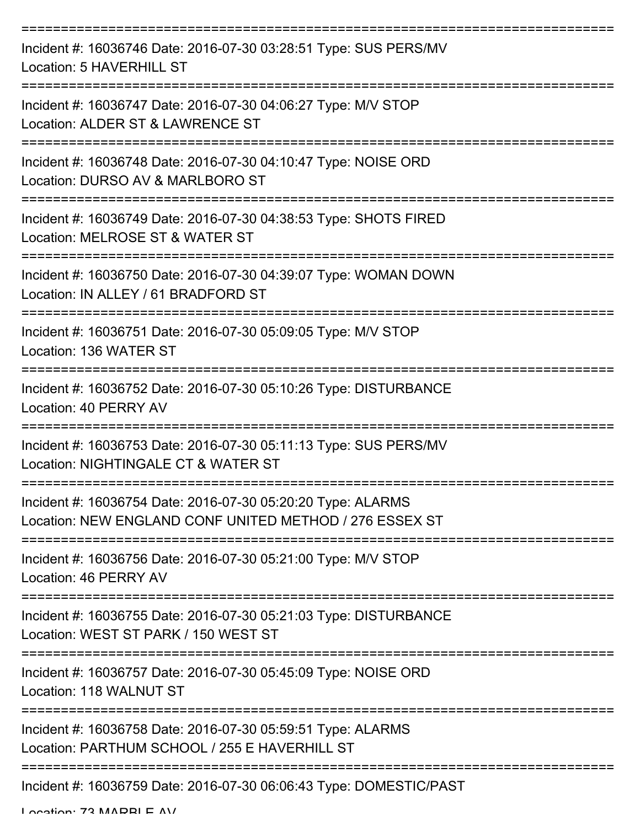| Incident #: 16036746 Date: 2016-07-30 03:28:51 Type: SUS PERS/MV<br>Location: 5 HAVERHILL ST                           |
|------------------------------------------------------------------------------------------------------------------------|
| Incident #: 16036747 Date: 2016-07-30 04:06:27 Type: M/V STOP<br>Location: ALDER ST & LAWRENCE ST                      |
| Incident #: 16036748 Date: 2016-07-30 04:10:47 Type: NOISE ORD<br>Location: DURSO AV & MARLBORO ST                     |
| Incident #: 16036749 Date: 2016-07-30 04:38:53 Type: SHOTS FIRED<br>Location: MELROSE ST & WATER ST                    |
| Incident #: 16036750 Date: 2016-07-30 04:39:07 Type: WOMAN DOWN<br>Location: IN ALLEY / 61 BRADFORD ST                 |
| Incident #: 16036751 Date: 2016-07-30 05:09:05 Type: M/V STOP<br>Location: 136 WATER ST                                |
| Incident #: 16036752 Date: 2016-07-30 05:10:26 Type: DISTURBANCE<br>Location: 40 PERRY AV                              |
| Incident #: 16036753 Date: 2016-07-30 05:11:13 Type: SUS PERS/MV<br>Location: NIGHTINGALE CT & WATER ST                |
| Incident #: 16036754 Date: 2016-07-30 05:20:20 Type: ALARMS<br>Location: NEW ENGLAND CONF UNITED METHOD / 276 ESSEX ST |
| Incident #: 16036756 Date: 2016-07-30 05:21:00 Type: M/V STOP<br>Location: 46 PERRY AV                                 |
| Incident #: 16036755 Date: 2016-07-30 05:21:03 Type: DISTURBANCE<br>Location: WEST ST PARK / 150 WEST ST               |
| Incident #: 16036757 Date: 2016-07-30 05:45:09 Type: NOISE ORD<br>Location: 118 WALNUT ST                              |
| Incident #: 16036758 Date: 2016-07-30 05:59:51 Type: ALARMS<br>Location: PARTHUM SCHOOL / 255 E HAVERHILL ST           |
| Incident #: 16036759 Date: 2016-07-30 06:06:43 Type: DOMESTIC/PAST                                                     |

Location: 72 MADDI E AV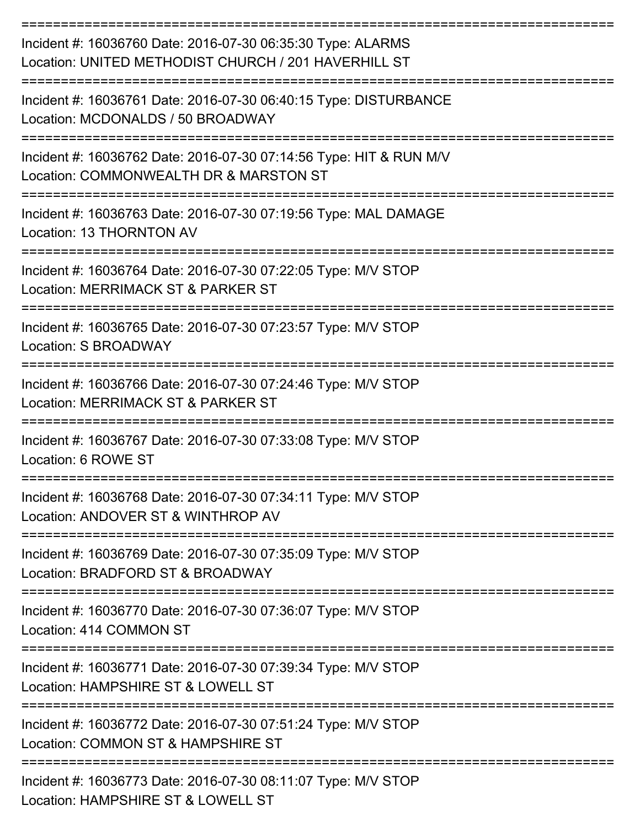| Incident #: 16036760 Date: 2016-07-30 06:35:30 Type: ALARMS<br>Location: UNITED METHODIST CHURCH / 201 HAVERHILL ST                   |
|---------------------------------------------------------------------------------------------------------------------------------------|
| Incident #: 16036761 Date: 2016-07-30 06:40:15 Type: DISTURBANCE<br>Location: MCDONALDS / 50 BROADWAY                                 |
| Incident #: 16036762 Date: 2016-07-30 07:14:56 Type: HIT & RUN M/V<br>Location: COMMONWEALTH DR & MARSTON ST<br>===================== |
| Incident #: 16036763 Date: 2016-07-30 07:19:56 Type: MAL DAMAGE<br>Location: 13 THORNTON AV                                           |
| Incident #: 16036764 Date: 2016-07-30 07:22:05 Type: M/V STOP<br>Location: MERRIMACK ST & PARKER ST                                   |
| Incident #: 16036765 Date: 2016-07-30 07:23:57 Type: M/V STOP<br>Location: S BROADWAY                                                 |
| Incident #: 16036766 Date: 2016-07-30 07:24:46 Type: M/V STOP<br>Location: MERRIMACK ST & PARKER ST                                   |
| Incident #: 16036767 Date: 2016-07-30 07:33:08 Type: M/V STOP<br>Location: 6 ROWE ST                                                  |
| Incident #: 16036768 Date: 2016-07-30 07:34:11 Type: M/V STOP<br>Location: ANDOVER ST & WINTHROP AV                                   |
| Incident #: 16036769 Date: 2016-07-30 07:35:09 Type: M/V STOP<br>Location: BRADFORD ST & BROADWAY                                     |
| Incident #: 16036770 Date: 2016-07-30 07:36:07 Type: M/V STOP<br>Location: 414 COMMON ST                                              |
| ----------------<br>Incident #: 16036771 Date: 2016-07-30 07:39:34 Type: M/V STOP<br>Location: HAMPSHIRE ST & LOWELL ST               |
| Incident #: 16036772 Date: 2016-07-30 07:51:24 Type: M/V STOP<br>Location: COMMON ST & HAMPSHIRE ST                                   |
| Incident #: 16036773 Date: 2016-07-30 08:11:07 Type: M/V STOP<br>Location: HAMPSHIRE ST & LOWELL ST                                   |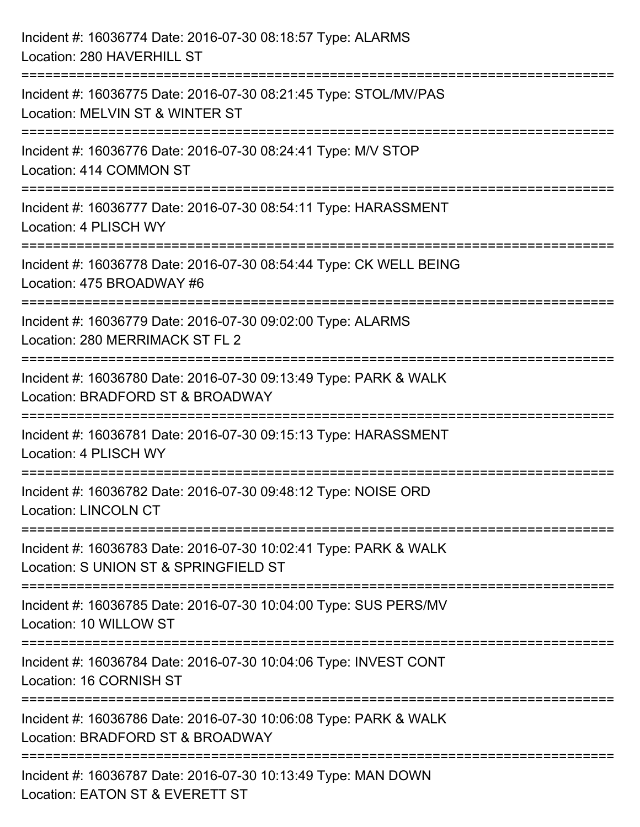| Incident #: 16036774 Date: 2016-07-30 08:18:57 Type: ALARMS<br>Location: 280 HAVERHILL ST                                    |
|------------------------------------------------------------------------------------------------------------------------------|
| Incident #: 16036775 Date: 2016-07-30 08:21:45 Type: STOL/MV/PAS<br>Location: MELVIN ST & WINTER ST                          |
| Incident #: 16036776 Date: 2016-07-30 08:24:41 Type: M/V STOP<br>Location: 414 COMMON ST                                     |
| ================================<br>Incident #: 16036777 Date: 2016-07-30 08:54:11 Type: HARASSMENT<br>Location: 4 PLISCH WY |
| Incident #: 16036778 Date: 2016-07-30 08:54:44 Type: CK WELL BEING<br>Location: 475 BROADWAY #6                              |
| Incident #: 16036779 Date: 2016-07-30 09:02:00 Type: ALARMS<br>Location: 280 MERRIMACK ST FL 2                               |
| Incident #: 16036780 Date: 2016-07-30 09:13:49 Type: PARK & WALK<br>Location: BRADFORD ST & BROADWAY                         |
| Incident #: 16036781 Date: 2016-07-30 09:15:13 Type: HARASSMENT<br>Location: 4 PLISCH WY                                     |
| Incident #: 16036782 Date: 2016-07-30 09:48:12 Type: NOISE ORD<br><b>Location: LINCOLN CT</b>                                |
| Incident #: 16036783 Date: 2016-07-30 10:02:41 Type: PARK & WALK<br>Location: S UNION ST & SPRINGFIELD ST                    |
| Incident #: 16036785 Date: 2016-07-30 10:04:00 Type: SUS PERS/MV<br>Location: 10 WILLOW ST                                   |
| Incident #: 16036784 Date: 2016-07-30 10:04:06 Type: INVEST CONT<br>Location: 16 CORNISH ST                                  |
| Incident #: 16036786 Date: 2016-07-30 10:06:08 Type: PARK & WALK<br>Location: BRADFORD ST & BROADWAY                         |
| Incident #: 16036787 Date: 2016-07-30 10:13:49 Type: MAN DOWN<br>Location: EATON ST & EVERETT ST                             |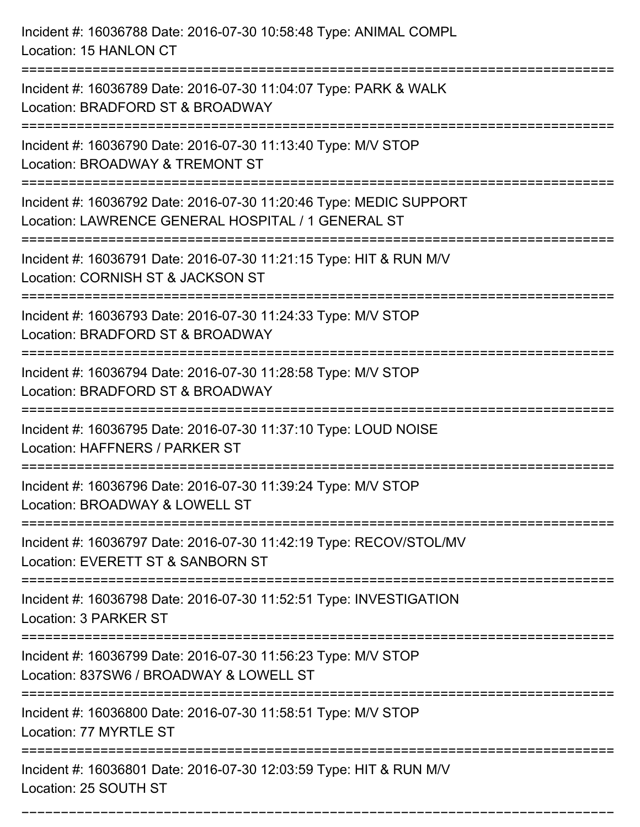Incident #: 16036788 Date: 2016-07-30 10:58:48 Type: ANIMAL COMPL Location: 15 HANLON CT =========================================================================== Incident #: 16036789 Date: 2016-07-30 11:04:07 Type: PARK & WALK Location: BRADFORD ST & BROADWAY =========================================================================== Incident #: 16036790 Date: 2016-07-30 11:13:40 Type: M/V STOP Location: BROADWAY & TREMONT ST =========================================================================== Incident #: 16036792 Date: 2016-07-30 11:20:46 Type: MEDIC SUPPORT Location: LAWRENCE GENERAL HOSPITAL / 1 GENERAL ST =========================================================================== Incident #: 16036791 Date: 2016-07-30 11:21:15 Type: HIT & RUN M/V Location: CORNISH ST & JACKSON ST =========================================================================== Incident #: 16036793 Date: 2016-07-30 11:24:33 Type: M/V STOP Location: BRADFORD ST & BROADWAY =========================================================================== Incident #: 16036794 Date: 2016-07-30 11:28:58 Type: M/V STOP Location: BRADFORD ST & BROADWAY =========================================================================== Incident #: 16036795 Date: 2016-07-30 11:37:10 Type: LOUD NOISE Location: HAFFNERS / PARKER ST =========================================================================== Incident #: 16036796 Date: 2016-07-30 11:39:24 Type: M/V STOP Location: BROADWAY & LOWELL ST =========================================================================== Incident #: 16036797 Date: 2016-07-30 11:42:19 Type: RECOV/STOL/MV Location: EVERETT ST & SANBORN ST =========================================================================== Incident #: 16036798 Date: 2016-07-30 11:52:51 Type: INVESTIGATION Location: 3 PARKER ST =========================================================================== Incident #: 16036799 Date: 2016-07-30 11:56:23 Type: M/V STOP Location: 837SW6 / BROADWAY & LOWELL ST =========================================================================== Incident #: 16036800 Date: 2016-07-30 11:58:51 Type: M/V STOP Location: 77 MYRTLE ST =========================================================================== Incident #: 16036801 Date: 2016-07-30 12:03:59 Type: HIT & RUN M/V Location: 25 SOUTH ST

===========================================================================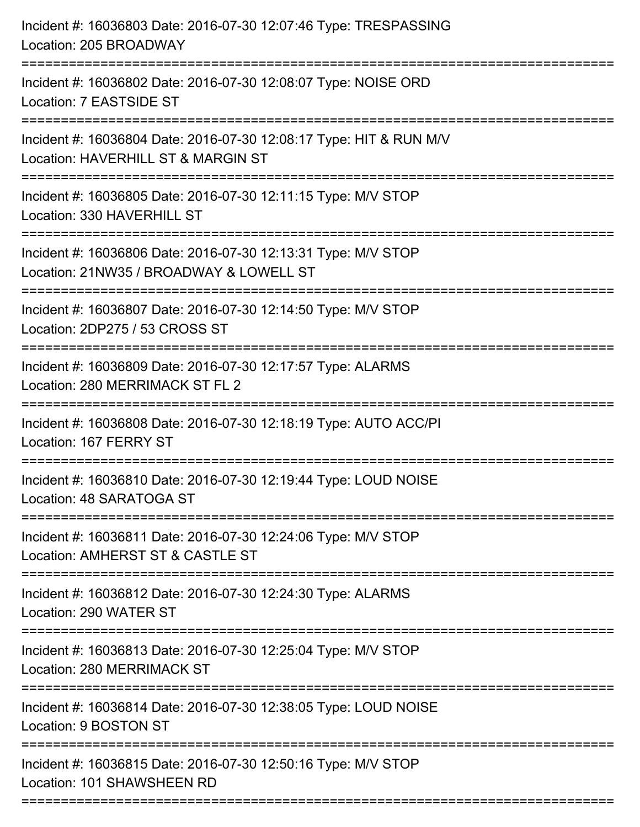| Incident #: 16036803 Date: 2016-07-30 12:07:46 Type: TRESPASSING<br>Location: 205 BROADWAY                        |
|-------------------------------------------------------------------------------------------------------------------|
| Incident #: 16036802 Date: 2016-07-30 12:08:07 Type: NOISE ORD<br>Location: 7 EASTSIDE ST                         |
| Incident #: 16036804 Date: 2016-07-30 12:08:17 Type: HIT & RUN M/V<br>Location: HAVERHILL ST & MARGIN ST          |
| Incident #: 16036805 Date: 2016-07-30 12:11:15 Type: M/V STOP<br>Location: 330 HAVERHILL ST<br>.----------------- |
| Incident #: 16036806 Date: 2016-07-30 12:13:31 Type: M/V STOP<br>Location: 21NW35 / BROADWAY & LOWELL ST          |
| Incident #: 16036807 Date: 2016-07-30 12:14:50 Type: M/V STOP<br>Location: 2DP275 / 53 CROSS ST                   |
| Incident #: 16036809 Date: 2016-07-30 12:17:57 Type: ALARMS<br>Location: 280 MERRIMACK ST FL 2                    |
| Incident #: 16036808 Date: 2016-07-30 12:18:19 Type: AUTO ACC/PI<br>Location: 167 FERRY ST                        |
| Incident #: 16036810 Date: 2016-07-30 12:19:44 Type: LOUD NOISE<br>Location: 48 SARATOGA ST                       |
| Incident #: 16036811 Date: 2016-07-30 12:24:06 Type: M/V STOP<br>Location: AMHERST ST & CASTLE ST                 |
| Incident #: 16036812 Date: 2016-07-30 12:24:30 Type: ALARMS<br>Location: 290 WATER ST                             |
| Incident #: 16036813 Date: 2016-07-30 12:25:04 Type: M/V STOP<br>Location: 280 MERRIMACK ST                       |
| Incident #: 16036814 Date: 2016-07-30 12:38:05 Type: LOUD NOISE<br>Location: 9 BOSTON ST                          |
| Incident #: 16036815 Date: 2016-07-30 12:50:16 Type: M/V STOP<br>Location: 101 SHAWSHEEN RD                       |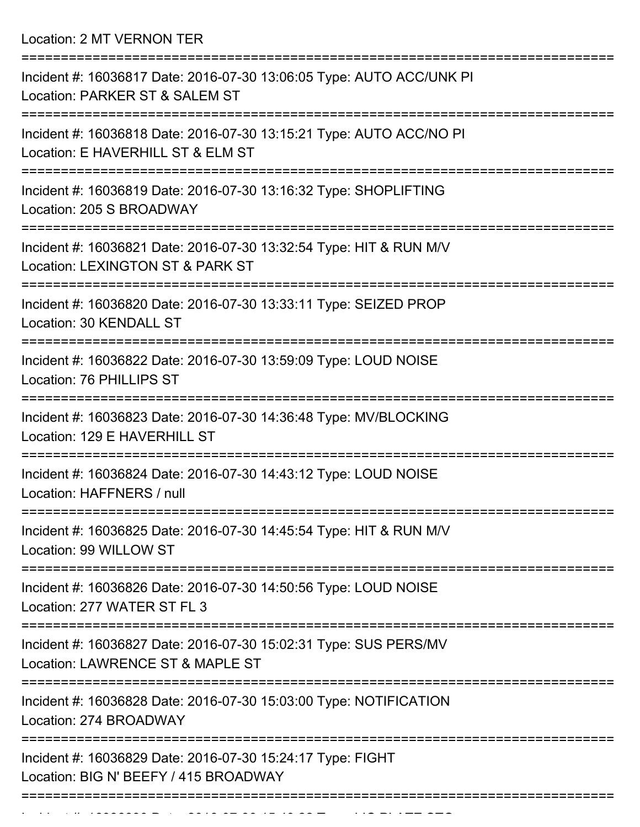Location: 2 MT VERNON TER

| Incident #: 16036817 Date: 2016-07-30 13:06:05 Type: AUTO ACC/UNK PI<br>Location: PARKER ST & SALEM ST                   |
|--------------------------------------------------------------------------------------------------------------------------|
| Incident #: 16036818 Date: 2016-07-30 13:15:21 Type: AUTO ACC/NO PI<br>Location: E HAVERHILL ST & ELM ST                 |
| Incident #: 16036819 Date: 2016-07-30 13:16:32 Type: SHOPLIFTING<br>Location: 205 S BROADWAY                             |
| Incident #: 16036821 Date: 2016-07-30 13:32:54 Type: HIT & RUN M/V<br>Location: LEXINGTON ST & PARK ST                   |
| Incident #: 16036820 Date: 2016-07-30 13:33:11 Type: SEIZED PROP<br>Location: 30 KENDALL ST                              |
| Incident #: 16036822 Date: 2016-07-30 13:59:09 Type: LOUD NOISE<br>Location: 76 PHILLIPS ST                              |
| Incident #: 16036823 Date: 2016-07-30 14:36:48 Type: MV/BLOCKING<br>Location: 129 E HAVERHILL ST                         |
| Incident #: 16036824 Date: 2016-07-30 14:43:12 Type: LOUD NOISE<br>Location: HAFFNERS / null                             |
| Incident #: 16036825 Date: 2016-07-30 14:45:54 Type: HIT & RUN M/V<br>Location: 99 WILLOW ST                             |
| ======================<br>Incident #: 16036826 Date: 2016-07-30 14:50:56 Type: LOUD NOISE<br>Location: 277 WATER ST FL 3 |
| Incident #: 16036827 Date: 2016-07-30 15:02:31 Type: SUS PERS/MV<br>Location: LAWRENCE ST & MAPLE ST                     |
| Incident #: 16036828 Date: 2016-07-30 15:03:00 Type: NOTIFICATION<br>Location: 274 BROADWAY                              |
| Incident #: 16036829 Date: 2016-07-30 15:24:17 Type: FIGHT<br>Location: BIG N' BEEFY / 415 BROADWAY                      |
|                                                                                                                          |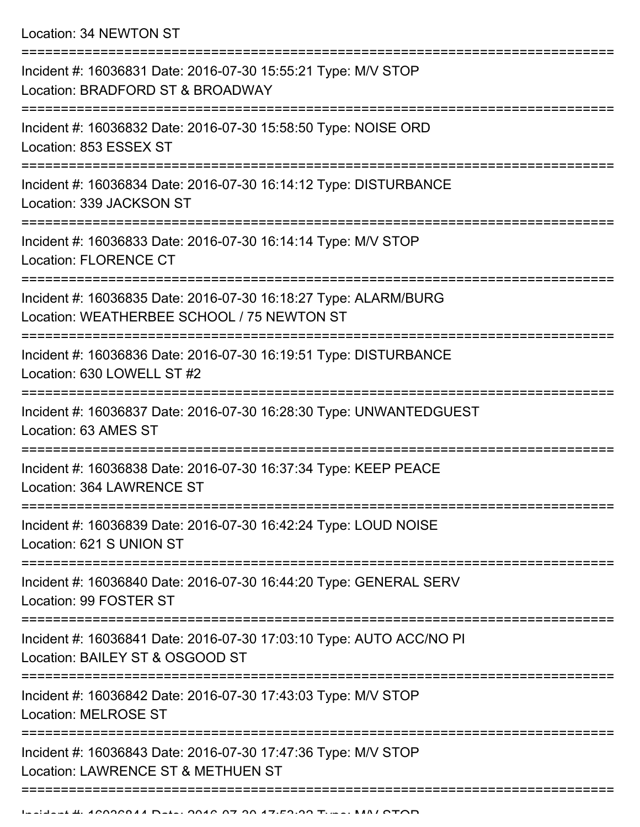Location: 34 NEWTON ST

| Incident #: 16036831 Date: 2016-07-30 15:55:21 Type: M/V STOP<br>Location: BRADFORD ST & BROADWAY             |
|---------------------------------------------------------------------------------------------------------------|
| Incident #: 16036832 Date: 2016-07-30 15:58:50 Type: NOISE ORD<br>Location: 853 ESSEX ST                      |
| Incident #: 16036834 Date: 2016-07-30 16:14:12 Type: DISTURBANCE<br>Location: 339 JACKSON ST                  |
| Incident #: 16036833 Date: 2016-07-30 16:14:14 Type: M/V STOP<br><b>Location: FLORENCE CT</b>                 |
| Incident #: 16036835 Date: 2016-07-30 16:18:27 Type: ALARM/BURG<br>Location: WEATHERBEE SCHOOL / 75 NEWTON ST |
| Incident #: 16036836 Date: 2016-07-30 16:19:51 Type: DISTURBANCE<br>Location: 630 LOWELL ST #2                |
| Incident #: 16036837 Date: 2016-07-30 16:28:30 Type: UNWANTEDGUEST<br>Location: 63 AMES ST                    |
| Incident #: 16036838 Date: 2016-07-30 16:37:34 Type: KEEP PEACE<br>Location: 364 LAWRENCE ST                  |
| Incident #: 16036839 Date: 2016-07-30 16:42:24 Type: LOUD NOISE<br>Location: 621 S UNION ST                   |
| Incident #: 16036840 Date: 2016-07-30 16:44:20 Type: GENERAL SERV<br>Location: 99 FOSTER ST                   |
| Incident #: 16036841 Date: 2016-07-30 17:03:10 Type: AUTO ACC/NO PI<br>Location: BAILEY ST & OSGOOD ST        |
| Incident #: 16036842 Date: 2016-07-30 17:43:03 Type: M/V STOP<br><b>Location: MELROSE ST</b>                  |
| Incident #: 16036843 Date: 2016-07-30 17:47:36 Type: M/V STOP<br>Location: LAWRENCE ST & METHUEN ST           |
|                                                                                                               |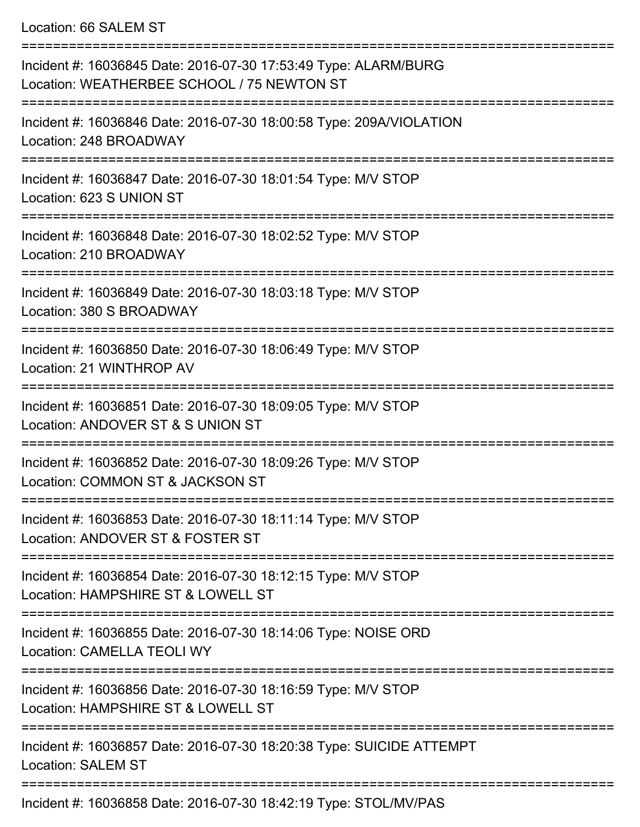Location: 66 SALEM ST

| Incident #: 16036845 Date: 2016-07-30 17:53:49 Type: ALARM/BURG<br>Location: WEATHERBEE SCHOOL / 75 NEWTON ST                                              |
|------------------------------------------------------------------------------------------------------------------------------------------------------------|
| Incident #: 16036846 Date: 2016-07-30 18:00:58 Type: 209A/VIOLATION<br>Location: 248 BROADWAY                                                              |
| Incident #: 16036847 Date: 2016-07-30 18:01:54 Type: M/V STOP<br>Location: 623 S UNION ST                                                                  |
| Incident #: 16036848 Date: 2016-07-30 18:02:52 Type: M/V STOP<br>Location: 210 BROADWAY                                                                    |
| Incident #: 16036849 Date: 2016-07-30 18:03:18 Type: M/V STOP<br>Location: 380 S BROADWAY                                                                  |
| Incident #: 16036850 Date: 2016-07-30 18:06:49 Type: M/V STOP<br>Location: 21 WINTHROP AV                                                                  |
| Incident #: 16036851 Date: 2016-07-30 18:09:05 Type: M/V STOP<br>Location: ANDOVER ST & S UNION ST                                                         |
| Incident #: 16036852 Date: 2016-07-30 18:09:26 Type: M/V STOP<br>Location: COMMON ST & JACKSON ST                                                          |
| Incident #: 16036853 Date: 2016-07-30 18:11:14 Type: M/V STOP<br>Location: ANDOVER ST & FOSTER ST                                                          |
| Incident #: 16036854 Date: 2016-07-30 18:12:15 Type: M/V STOP<br>Location: HAMPSHIRE ST & LOWELL ST                                                        |
| Incident #: 16036855 Date: 2016-07-30 18:14:06 Type: NOISE ORD<br>Location: CAMELLA TEOLI WY                                                               |
| Incident #: 16036856 Date: 2016-07-30 18:16:59 Type: M/V STOP<br>Location: HAMPSHIRE ST & LOWELL ST                                                        |
| Incident #: 16036857 Date: 2016-07-30 18:20:38 Type: SUICIDE ATTEMPT<br><b>Location: SALEM ST</b><br>-----------------------------<br>==================== |
| Incident #: 16036858 Date: 2016-07-30 18:42:19 Type: STOL/MV/PAS                                                                                           |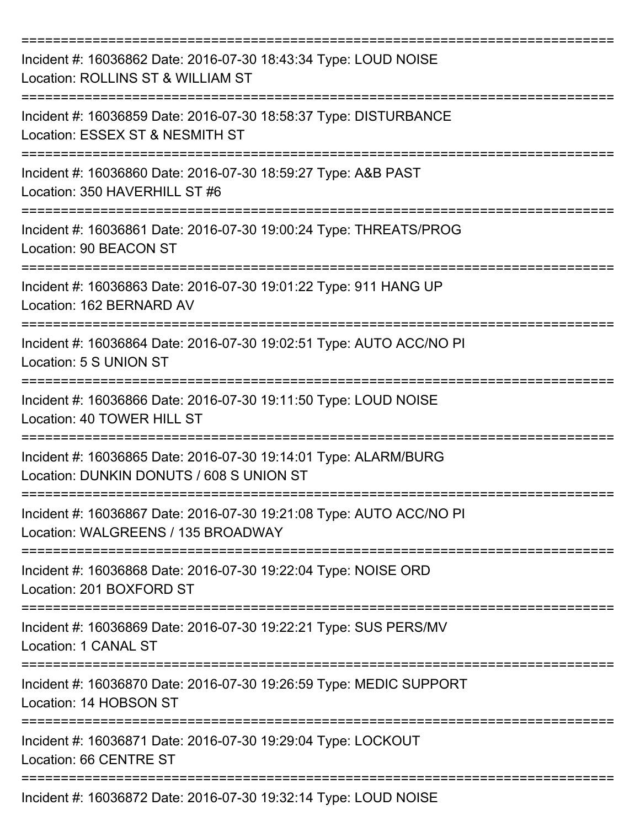| Incident #: 16036862 Date: 2016-07-30 18:43:34 Type: LOUD NOISE<br>Location: ROLLINS ST & WILLIAM ST        |
|-------------------------------------------------------------------------------------------------------------|
| Incident #: 16036859 Date: 2016-07-30 18:58:37 Type: DISTURBANCE<br>Location: ESSEX ST & NESMITH ST         |
| Incident #: 16036860 Date: 2016-07-30 18:59:27 Type: A&B PAST<br>Location: 350 HAVERHILL ST #6              |
| Incident #: 16036861 Date: 2016-07-30 19:00:24 Type: THREATS/PROG<br>Location: 90 BEACON ST                 |
| Incident #: 16036863 Date: 2016-07-30 19:01:22 Type: 911 HANG UP<br>Location: 162 BERNARD AV                |
| Incident #: 16036864 Date: 2016-07-30 19:02:51 Type: AUTO ACC/NO PI<br>Location: 5 S UNION ST               |
| Incident #: 16036866 Date: 2016-07-30 19:11:50 Type: LOUD NOISE<br>Location: 40 TOWER HILL ST               |
| Incident #: 16036865 Date: 2016-07-30 19:14:01 Type: ALARM/BURG<br>Location: DUNKIN DONUTS / 608 S UNION ST |
| Incident #: 16036867 Date: 2016-07-30 19:21:08 Type: AUTO ACC/NO PI<br>Location: WALGREENS / 135 BROADWAY   |
| Incident #: 16036868 Date: 2016-07-30 19:22:04 Type: NOISE ORD<br>Location: 201 BOXFORD ST                  |
| Incident #: 16036869 Date: 2016-07-30 19:22:21 Type: SUS PERS/MV<br>Location: 1 CANAL ST                    |
| Incident #: 16036870 Date: 2016-07-30 19:26:59 Type: MEDIC SUPPORT<br>Location: 14 HOBSON ST                |
| Incident #: 16036871 Date: 2016-07-30 19:29:04 Type: LOCKOUT<br>Location: 66 CENTRE ST                      |
| Incident #: 16036872 Date: 2016-07-30 19:32:14 Type: LOUD NOISE                                             |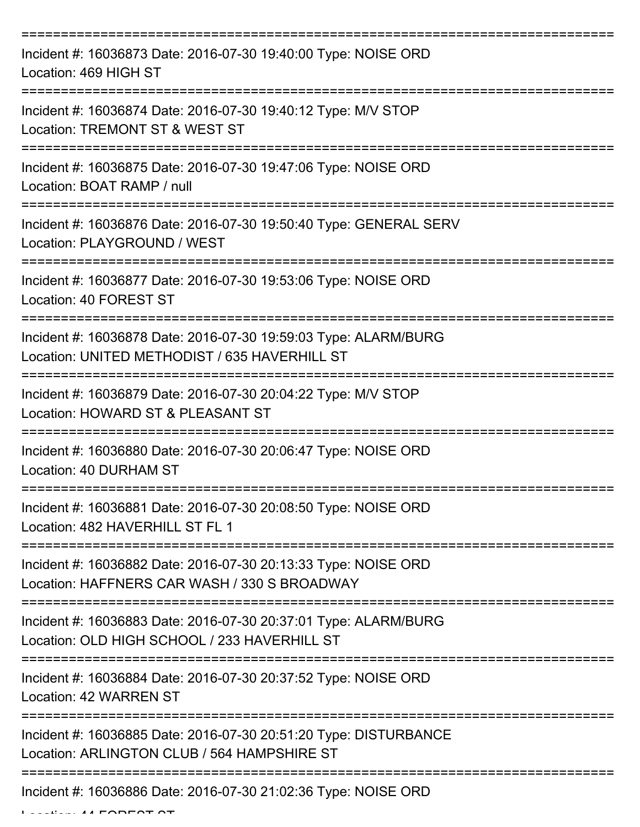| Incident #: 16036873 Date: 2016-07-30 19:40:00 Type: NOISE ORD<br>Location: 469 HIGH ST                                               |
|---------------------------------------------------------------------------------------------------------------------------------------|
| Incident #: 16036874 Date: 2016-07-30 19:40:12 Type: M/V STOP<br>Location: TREMONT ST & WEST ST                                       |
| Incident #: 16036875 Date: 2016-07-30 19:47:06 Type: NOISE ORD<br>Location: BOAT RAMP / null                                          |
| Incident #: 16036876 Date: 2016-07-30 19:50:40 Type: GENERAL SERV<br>Location: PLAYGROUND / WEST                                      |
| Incident #: 16036877 Date: 2016-07-30 19:53:06 Type: NOISE ORD<br>Location: 40 FOREST ST<br>=========                                 |
| Incident #: 16036878 Date: 2016-07-30 19:59:03 Type: ALARM/BURG<br>Location: UNITED METHODIST / 635 HAVERHILL ST<br>,---------------- |
| Incident #: 16036879 Date: 2016-07-30 20:04:22 Type: M/V STOP<br>Location: HOWARD ST & PLEASANT ST                                    |
| Incident #: 16036880 Date: 2016-07-30 20:06:47 Type: NOISE ORD<br>Location: 40 DURHAM ST                                              |
| Incident #: 16036881 Date: 2016-07-30 20:08:50 Type: NOISE ORD<br>Location: 482 HAVERHILL ST FL 1                                     |
| Incident #: 16036882 Date: 2016-07-30 20:13:33 Type: NOISE ORD<br>Location: HAFFNERS CAR WASH / 330 S BROADWAY                        |
| Incident #: 16036883 Date: 2016-07-30 20:37:01 Type: ALARM/BURG<br>Location: OLD HIGH SCHOOL / 233 HAVERHILL ST                       |
| Incident #: 16036884 Date: 2016-07-30 20:37:52 Type: NOISE ORD<br><b>Location: 42 WARREN ST</b>                                       |
| Incident #: 16036885 Date: 2016-07-30 20:51:20 Type: DISTURBANCE<br>Location: ARLINGTON CLUB / 564 HAMPSHIRE ST                       |
| Incident #: 16036886 Date: 2016-07-30 21:02:36 Type: NOISE ORD                                                                        |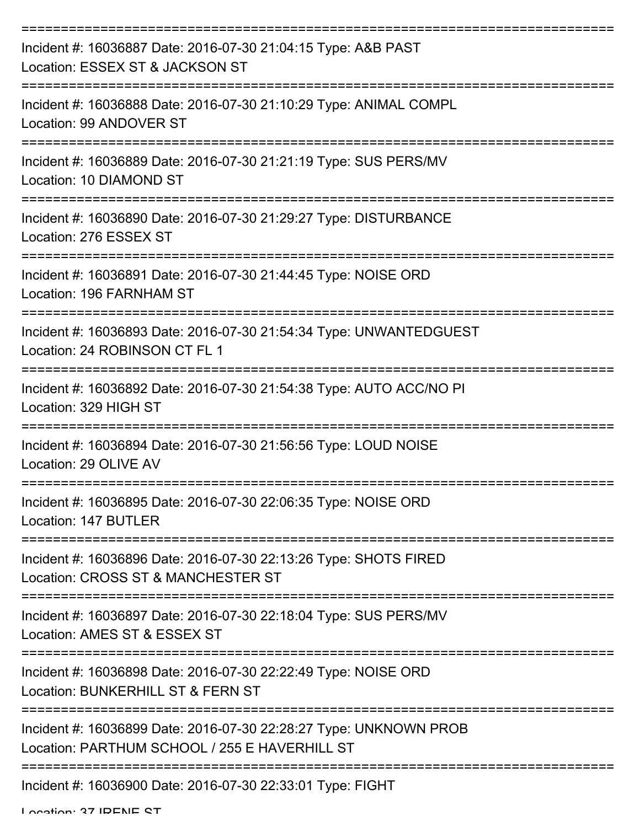| Incident #: 16036887 Date: 2016-07-30 21:04:15 Type: A&B PAST<br>Location: ESSEX ST & JACKSON ST                   |
|--------------------------------------------------------------------------------------------------------------------|
| Incident #: 16036888 Date: 2016-07-30 21:10:29 Type: ANIMAL COMPL<br>Location: 99 ANDOVER ST                       |
| Incident #: 16036889 Date: 2016-07-30 21:21:19 Type: SUS PERS/MV<br>Location: 10 DIAMOND ST                        |
| Incident #: 16036890 Date: 2016-07-30 21:29:27 Type: DISTURBANCE<br>Location: 276 ESSEX ST                         |
| Incident #: 16036891 Date: 2016-07-30 21:44:45 Type: NOISE ORD<br>Location: 196 FARNHAM ST                         |
| Incident #: 16036893 Date: 2016-07-30 21:54:34 Type: UNWANTEDGUEST<br>Location: 24 ROBINSON CT FL 1                |
| Incident #: 16036892 Date: 2016-07-30 21:54:38 Type: AUTO ACC/NO PI<br>Location: 329 HIGH ST                       |
| Incident #: 16036894 Date: 2016-07-30 21:56:56 Type: LOUD NOISE<br>Location: 29 OLIVE AV                           |
| Incident #: 16036895 Date: 2016-07-30 22:06:35 Type: NOISE ORD<br>Location: 147 BUTLER                             |
| Incident #: 16036896 Date: 2016-07-30 22:13:26 Type: SHOTS FIRED<br>Location: CROSS ST & MANCHESTER ST             |
| Incident #: 16036897 Date: 2016-07-30 22:18:04 Type: SUS PERS/MV<br>Location: AMES ST & ESSEX ST                   |
| Incident #: 16036898 Date: 2016-07-30 22:22:49 Type: NOISE ORD<br>Location: BUNKERHILL ST & FERN ST                |
| Incident #: 16036899 Date: 2016-07-30 22:28:27 Type: UNKNOWN PROB<br>Location: PARTHUM SCHOOL / 255 E HAVERHILL ST |
| Incident #: 16036900 Date: 2016-07-30 22:33:01 Type: FIGHT                                                         |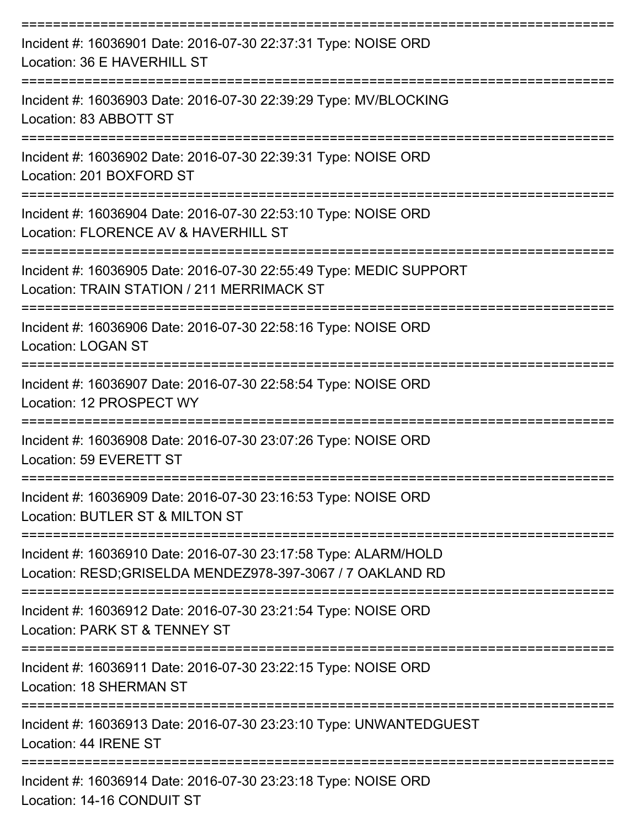| Incident #: 16036901 Date: 2016-07-30 22:37:31 Type: NOISE ORD<br>Location: 36 E HAVERHILL ST                                |
|------------------------------------------------------------------------------------------------------------------------------|
| Incident #: 16036903 Date: 2016-07-30 22:39:29 Type: MV/BLOCKING<br>Location: 83 ABBOTT ST                                   |
| Incident #: 16036902 Date: 2016-07-30 22:39:31 Type: NOISE ORD<br>Location: 201 BOXFORD ST                                   |
| Incident #: 16036904 Date: 2016-07-30 22:53:10 Type: NOISE ORD<br>Location: FLORENCE AV & HAVERHILL ST                       |
| Incident #: 16036905 Date: 2016-07-30 22:55:49 Type: MEDIC SUPPORT<br>Location: TRAIN STATION / 211 MERRIMACK ST             |
| Incident #: 16036906 Date: 2016-07-30 22:58:16 Type: NOISE ORD<br>Location: LOGAN ST                                         |
| Incident #: 16036907 Date: 2016-07-30 22:58:54 Type: NOISE ORD<br>Location: 12 PROSPECT WY                                   |
| Incident #: 16036908 Date: 2016-07-30 23:07:26 Type: NOISE ORD<br>Location: 59 EVERETT ST                                    |
| Incident #: 16036909 Date: 2016-07-30 23:16:53 Type: NOISE ORD<br>Location: BUTLER ST & MILTON ST                            |
| Incident #: 16036910 Date: 2016-07-30 23:17:58 Type: ALARM/HOLD<br>Location: RESD;GRISELDA MENDEZ978-397-3067 / 7 OAKLAND RD |
| Incident #: 16036912 Date: 2016-07-30 23:21:54 Type: NOISE ORD<br>Location: PARK ST & TENNEY ST                              |
| Incident #: 16036911 Date: 2016-07-30 23:22:15 Type: NOISE ORD<br>Location: 18 SHERMAN ST                                    |
| Incident #: 16036913 Date: 2016-07-30 23:23:10 Type: UNWANTEDGUEST<br>Location: 44 IRENE ST                                  |
| Incident #: 16036914 Date: 2016-07-30 23:23:18 Type: NOISE ORD<br>Location: 14-16 CONDUIT ST                                 |